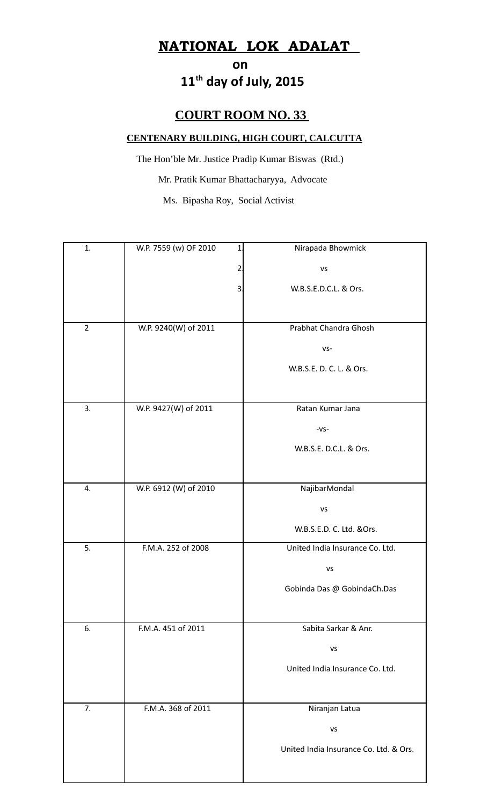## **NATIONAL LOK ADALAT**

## **on** on a state of  $\alpha$  **11th day of July, 2015**

## **COURT ROOM NO. 33**

## **CENTENARY BUILDING, HIGH COURT, CALCUTTA**

 The Hon'ble Mr. Justice Pradip Kumar Biswas (Rtd.) Mr. Pratik Kumar Bhattacharyya, Advocate Ms. Bipasha Roy, Social Activist

| 1.             | W.P. 7559 (w) OF 2010<br>1 | Nirapada Bhowmick                      |
|----------------|----------------------------|----------------------------------------|
|                | $\overline{2}$             | VS                                     |
|                | 3                          | W.B.S.E.D.C.L. & Ors.                  |
|                |                            |                                        |
| $\overline{2}$ | W.P. 9240(W) of 2011       | Prabhat Chandra Ghosh                  |
|                |                            | $VS -$                                 |
|                |                            | W.B.S.E. D. C. L. & Ors.               |
|                |                            |                                        |
| 3.             | W.P. 9427(W) of 2011       | Ratan Kumar Jana                       |
|                |                            | $-VS-$                                 |
|                |                            | W.B.S.E. D.C.L. & Ors.                 |
|                |                            |                                        |
| 4.             | W.P. 6912 (W) of 2010      | NajibarMondal                          |
|                |                            | VS                                     |
|                |                            | W.B.S.E.D. C. Ltd. &Ors.               |
| 5.             | F.M.A. 252 of 2008         | United India Insurance Co. Ltd.        |
|                |                            | <b>VS</b>                              |
|                |                            | Gobinda Das @ GobindaCh.Das            |
|                |                            |                                        |
| 6.             | F.M.A. 451 of 2011         | Sabita Sarkar & Anr.                   |
|                |                            | VS                                     |
|                |                            | United India Insurance Co. Ltd.        |
|                |                            |                                        |
| 7.             | F.M.A. 368 of 2011         | Niranjan Latua                         |
|                |                            | VS                                     |
|                |                            | United India Insurance Co. Ltd. & Ors. |
|                |                            |                                        |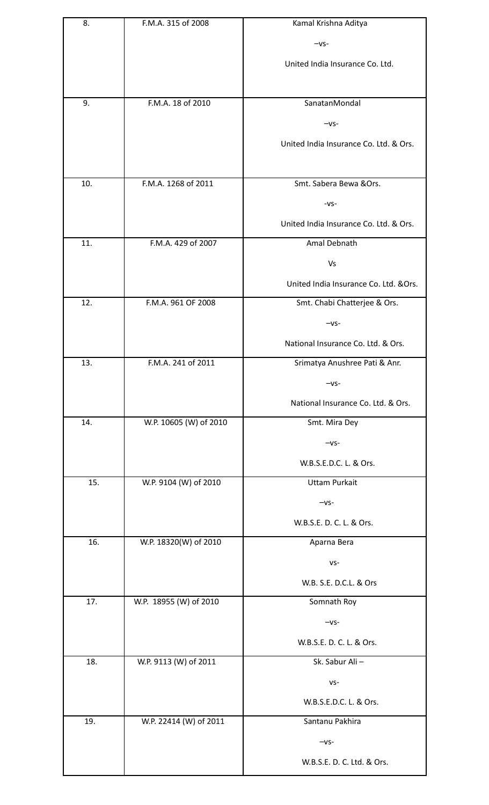| 8.  | F.M.A. 315 of 2008     | Kamal Krishna Aditya                   |
|-----|------------------------|----------------------------------------|
|     |                        | $-vs-$                                 |
|     |                        | United India Insurance Co. Ltd.        |
|     |                        |                                        |
| 9.  | F.M.A. 18 of 2010      | SanatanMondal                          |
|     |                        |                                        |
|     |                        | $-vs-$                                 |
|     |                        | United India Insurance Co. Ltd. & Ors. |
|     |                        |                                        |
| 10. | F.M.A. 1268 of 2011    | Smt. Sabera Bewa & Ors.                |
|     |                        | $-VS-$                                 |
|     |                        | United India Insurance Co. Ltd. & Ors. |
| 11. | F.M.A. 429 of 2007     | Amal Debnath                           |
|     |                        | Vs                                     |
|     |                        | United India Insurance Co. Ltd. & Ors. |
| 12. | F.M.A. 961 OF 2008     | Smt. Chabi Chatterjee & Ors.           |
|     |                        | $-vs-$                                 |
|     |                        | National Insurance Co. Ltd. & Ors.     |
| 13. | F.M.A. 241 of 2011     | Srimatya Anushree Pati & Anr.          |
|     |                        | $-VS-$                                 |
|     |                        | National Insurance Co. Ltd. & Ors.     |
| 14. | W.P. 10605 (W) of 2010 | Smt. Mira Dey                          |
|     |                        | $-vs-$                                 |
|     |                        | W.B.S.E.D.C. L. & Ors.                 |
| 15. | W.P. 9104 (W) of 2010  | <b>Uttam Purkait</b>                   |
|     |                        | $-vs-$                                 |
|     |                        | W.B.S.E. D. C. L. & Ors.               |
| 16. | W.P. 18320(W) of 2010  | Aparna Bera                            |
|     |                        | $VS -$                                 |
|     |                        | W.B. S.E. D.C.L. & Ors                 |
| 17. | W.P. 18955 (W) of 2010 | Somnath Roy                            |
|     |                        | $-VS-$                                 |
|     |                        | W.B.S.E. D. C. L. & Ors.               |
| 18. | W.P. 9113 (W) of 2011  | Sk. Sabur Ali-                         |
|     |                        | $VS -$                                 |
|     |                        | W.B.S.E.D.C. L. & Ors.                 |
| 19. | W.P. 22414 (W) of 2011 | Santanu Pakhira                        |
|     |                        | $-vs-$                                 |
|     |                        | W.B.S.E. D. C. Ltd. & Ors.             |
|     |                        |                                        |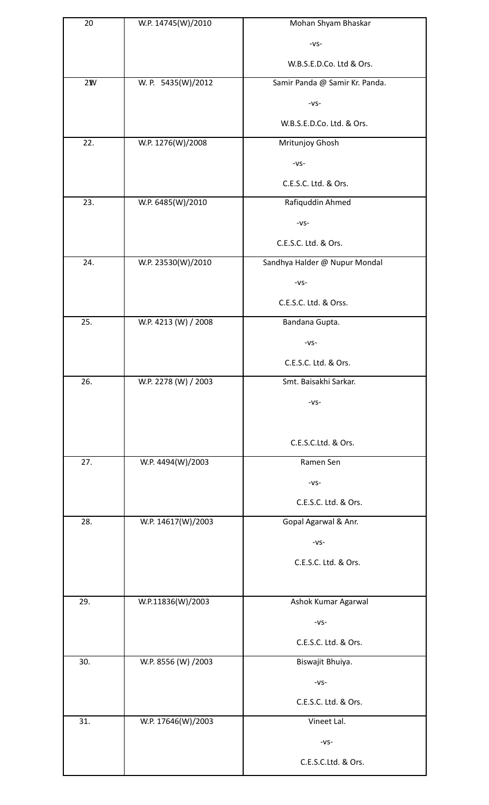| 20  | W.P. 14745(W)/2010   | Mohan Shyam Bhaskar            |
|-----|----------------------|--------------------------------|
|     |                      | $-VS-$                         |
|     |                      | W.B.S.E.D.Co. Ltd & Ors.       |
| 2M  | W. P. 5435(W)/2012   | Samir Panda @ Samir Kr. Panda. |
|     |                      | $-VS-$                         |
|     |                      | W.B.S.E.D.Co. Ltd. & Ors.      |
| 22. | W.P. 1276(W)/2008    | Mritunjoy Ghosh                |
|     |                      | $-VS-$                         |
|     |                      | C.E.S.C. Ltd. & Ors.           |
| 23. | W.P. 6485(W)/2010    | Rafiquddin Ahmed               |
|     |                      | $-VS-$                         |
|     |                      | C.E.S.C. Ltd. & Ors.           |
| 24. | W.P. 23530(W)/2010   | Sandhya Halder @ Nupur Mondal  |
|     |                      | $-VS-$                         |
|     |                      | C.E.S.C. Ltd. & Orss.          |
| 25. | W.P. 4213 (W) / 2008 | Bandana Gupta.                 |
|     |                      | $-VS-$                         |
|     |                      | C.E.S.C. Ltd. & Ors.           |
| 26. | W.P. 2278 (W) / 2003 | Smt. Baisakhi Sarkar.          |
|     |                      | $-VS-$                         |
|     |                      |                                |
|     |                      | C.E.S.C.Ltd. & Ors.            |
| 27. | W.P. 4494(W)/2003    | Ramen Sen                      |
|     |                      | $-VS-$                         |
|     |                      | C.E.S.C. Ltd. & Ors.           |
| 28. | W.P. 14617(W)/2003   | Gopal Agarwal & Anr.           |
|     |                      | $-VS-$                         |
|     |                      | C.E.S.C. Ltd. & Ors.           |
|     |                      |                                |
| 29. | W.P.11836(W)/2003    | Ashok Kumar Agarwal            |
|     |                      | $-VS-$                         |
|     |                      | C.E.S.C. Ltd. & Ors.           |
| 30. | W.P. 8556 (W) /2003  | Biswajit Bhuiya.               |
|     |                      | $-VS-$                         |
|     |                      | C.E.S.C. Ltd. & Ors.           |
| 31. | W.P. 17646(W)/2003   | Vineet Lal.                    |
|     |                      | $-VS-$                         |
|     |                      | C.E.S.C.Ltd. & Ors.            |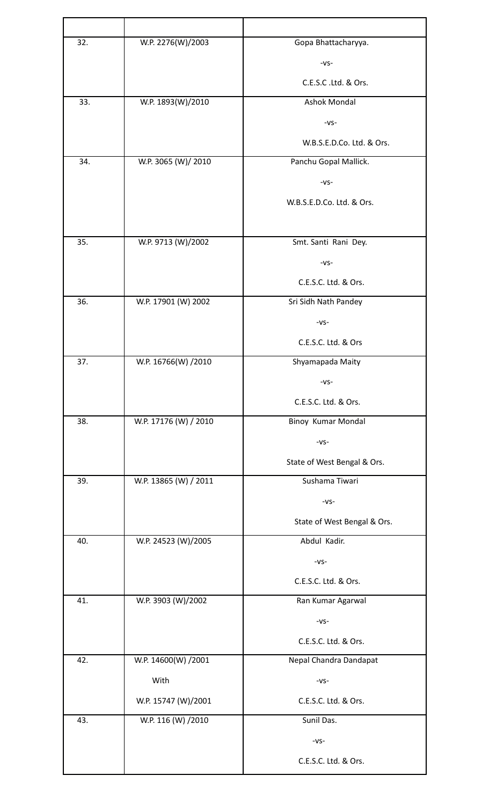| 32. | W.P. 2276(W)/2003     | Gopa Bhattacharyya.         |
|-----|-----------------------|-----------------------------|
|     |                       | $-VS-$                      |
|     |                       | C.E.S.C.Ltd. & Ors.         |
| 33. | W.P. 1893(W)/2010     | <b>Ashok Mondal</b>         |
|     |                       | $-VS-$                      |
|     |                       | W.B.S.E.D.Co. Ltd. & Ors.   |
| 34. | W.P. 3065 (W)/ 2010   | Panchu Gopal Mallick.       |
|     |                       | $-VS-$                      |
|     |                       | W.B.S.E.D.Co. Ltd. & Ors.   |
|     |                       |                             |
| 35. | W.P. 9713 (W)/2002    | Smt. Santi Rani Dey.        |
|     |                       | $-VS-$                      |
|     |                       | C.E.S.C. Ltd. & Ors.        |
| 36. | W.P. 17901 (W) 2002   | Sri Sidh Nath Pandey        |
|     |                       | $-VS-$                      |
|     |                       | C.E.S.C. Ltd. & Ors         |
| 37. | W.P. 16766(W) /2010   | Shyamapada Maity            |
|     |                       | $-VS-$                      |
|     |                       | C.E.S.C. Ltd. & Ors.        |
| 38. | W.P. 17176 (W) / 2010 | Binoy Kumar Mondal          |
|     |                       | $-VS-$                      |
|     |                       | State of West Bengal & Ors. |
| 39. | W.P. 13865 (W) / 2011 | Sushama Tiwari              |
|     |                       | $-VS-$                      |
|     |                       | State of West Bengal & Ors. |
| 40. | W.P. 24523 (W)/2005   | Abdul Kadir.                |
|     |                       | $-VS-$                      |
|     |                       | C.E.S.C. Ltd. & Ors.        |
| 41. | W.P. 3903 (W)/2002    | Ran Kumar Agarwal           |
|     |                       | $-VS-$                      |
|     |                       | C.E.S.C. Ltd. & Ors.        |
| 42. | W.P. 14600(W) /2001   | Nepal Chandra Dandapat      |
|     | With                  | $-VS-$                      |
|     | W.P. 15747 (W)/2001   | C.E.S.C. Ltd. & Ors.        |
| 43. | W.P. 116 (W) /2010    | Sunil Das.                  |
|     |                       | $-VS-$                      |
|     |                       | C.E.S.C. Ltd. & Ors.        |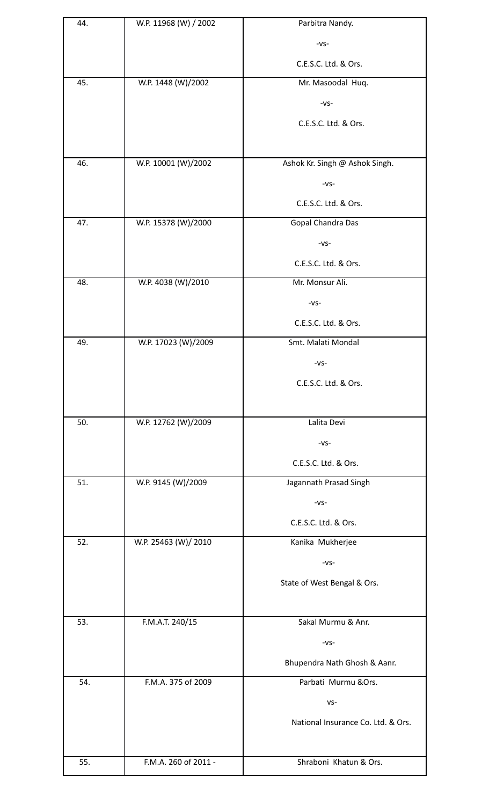| 44. | W.P. 11968 (W) / 2002 | Parbitra Nandy.                    |
|-----|-----------------------|------------------------------------|
|     |                       | $-VS-$                             |
|     |                       | C.E.S.C. Ltd. & Ors.               |
| 45. | W.P. 1448 (W)/2002    | Mr. Masoodal Huq.                  |
|     |                       | $-VS-$                             |
|     |                       | C.E.S.C. Ltd. & Ors.               |
|     |                       |                                    |
| 46. | W.P. 10001 (W)/2002   | Ashok Kr. Singh @ Ashok Singh.     |
|     |                       | $-VS-$                             |
|     |                       | C.E.S.C. Ltd. & Ors.               |
| 47. | W.P. 15378 (W)/2000   | Gopal Chandra Das                  |
|     |                       | $-VS-$                             |
|     |                       | C.E.S.C. Ltd. & Ors.               |
| 48. | W.P. 4038 (W)/2010    | Mr. Monsur Ali.                    |
|     |                       | $-VS-$                             |
|     |                       | C.E.S.C. Ltd. & Ors.               |
| 49. | W.P. 17023 (W)/2009   | Smt. Malati Mondal                 |
|     |                       | $-VS-$                             |
|     |                       | C.E.S.C. Ltd. & Ors.               |
|     |                       |                                    |
| 50. | W.P. 12762 (W)/2009   | Lalita Devi                        |
|     |                       | $-VS-$                             |
|     |                       | C.E.S.C. Ltd. & Ors.               |
| 51. | W.P. 9145 (W)/2009    | Jagannath Prasad Singh             |
|     |                       | $-VS-$                             |
|     |                       | C.E.S.C. Ltd. & Ors.               |
| 52. | W.P. 25463 (W)/ 2010  | Kanika Mukherjee                   |
|     |                       | $-VS-$                             |
|     |                       | State of West Bengal & Ors.        |
|     |                       |                                    |
| 53. | F.M.A.T. 240/15       | Sakal Murmu & Anr.                 |
|     |                       | $-VS-$                             |
|     |                       | Bhupendra Nath Ghosh & Aanr.       |
| 54. | F.M.A. 375 of 2009    | Parbati Murmu & Ors.               |
|     |                       | $VS -$                             |
|     |                       | National Insurance Co. Ltd. & Ors. |
|     |                       |                                    |
| 55. | F.M.A. 260 of 2011 -  | Shraboni Khatun & Ors.             |